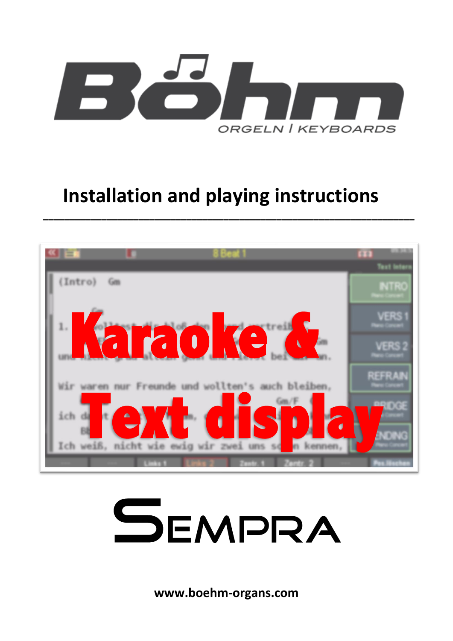

# **Installation and playing instructions**

**\_\_\_\_\_\_\_\_\_\_\_\_\_\_\_\_\_\_\_\_\_\_\_\_\_\_\_\_\_\_\_\_\_\_\_\_\_\_\_\_\_\_\_\_\_\_\_\_\_\_\_\_\_\_\_\_\_\_\_\_\_\_\_\_\_\_\_\_\_\_**





**www.boehm-organs.com**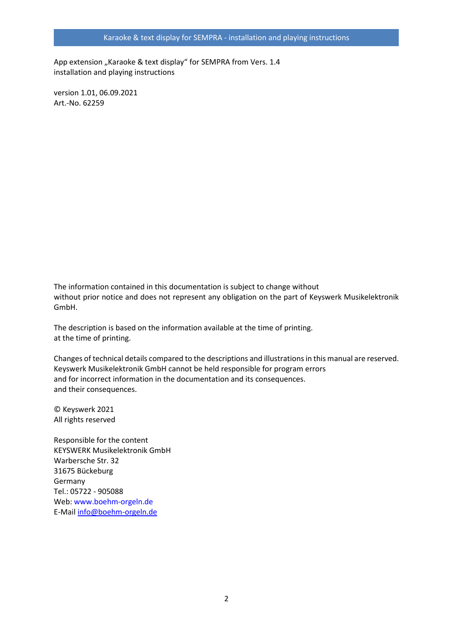App extension "Karaoke & text display" for SEMPRA from Vers. 1.4 installation and playing instructions

version 1.01, 06.09.2021 Art.-No. 62259

The information contained in this documentation is subject to change without without prior notice and does not represent any obligation on the part of Keyswerk Musikelektronik GmbH.

The description is based on the information available at the time of printing. at the time of printing.

Changes of technical details compared to the descriptions and illustrations in this manual are reserved. Keyswerk Musikelektronik GmbH cannot be held responsible for program errors and for incorrect information in the documentation and its consequences. and their consequences.

© Keyswerk 2021 All rights reserved

Responsible for the content KEYSWERK Musikelektronik GmbH Warbersche Str. 32 31675 Bückeburg Germany Tel.: 05722 - 905088 Web: www.boehm-orgeln.de E-Mail [info@boehm-orgeln.de](mailto:info@boehm-orgeln.de)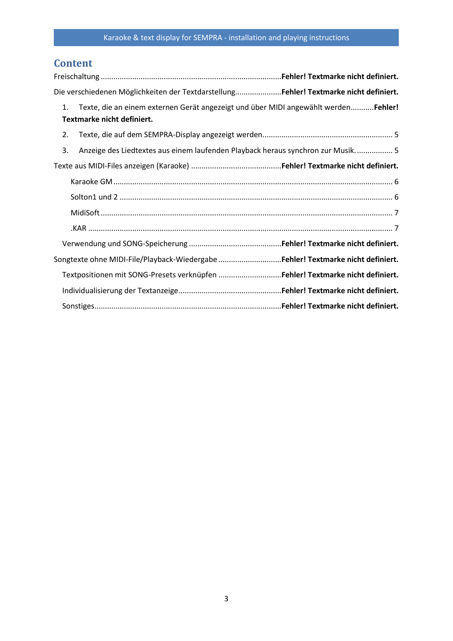# **Content**

| Die verschiedenen Möglichkeiten der TextdarstellungFehler! Textmarke nicht definiert.                                   |  |
|-------------------------------------------------------------------------------------------------------------------------|--|
| Texte, die an einem externen Gerät angezeigt und über MIDI angewählt werden Fehler!<br>1.<br>Textmarke nicht definiert. |  |
| 2.                                                                                                                      |  |
| Anzeige des Liedtextes aus einem laufenden Playback heraus synchron zur Musik 5<br>3.                                   |  |
|                                                                                                                         |  |
|                                                                                                                         |  |
|                                                                                                                         |  |
|                                                                                                                         |  |
|                                                                                                                         |  |
|                                                                                                                         |  |
| Songtexte ohne MIDI-File/Playback-Wiedergabe Fehler! Textmarke nicht definiert.                                         |  |
| Textpositionen mit SONG-Presets verknüpfen Fehler! Textmarke nicht definiert.                                           |  |
|                                                                                                                         |  |
|                                                                                                                         |  |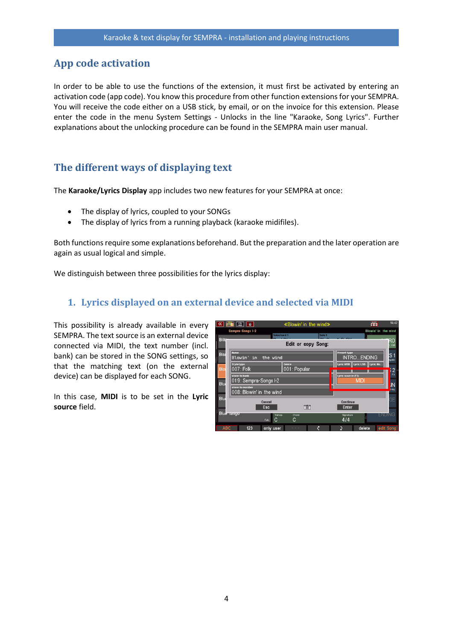# **App code activation**

In order to be able to use the functions of the extension, it must first be activated by entering an activation code (app code). You know this procedure from other function extensions for your SEMPRA. You will receive the code either on a USB stick, by email, or on the invoice for this extension. Please enter the code in the menu System Settings - Unlocks in the line "Karaoke, Song Lyrics". Further explanations about the unlocking procedure can be found in the SEMPRA main user manual.

# **The different ways of displaying text**

The **Karaoke/Lyrics Display** app includes two new features for your SEMPRA at once:

- The display of lyrics, coupled to your SONGs
- The display of lyrics from a running playback (karaoke midifiles).

Both functions require some explanations beforehand. But the preparation and the later operation are again as usual logical and simple.

We distinguish between three possibilities for the lyrics display:

## **1. Lyrics displayed on an external device and selected via MIDI**

This possibility is already available in every SEMPRA. The text source is an external device connected via MIDI, the text number (incl. bank) can be stored in the SONG settings, so that the matching text (on the external device) can be displayed for each SONG.

In this case, **MIDI** is to be set in the **Lyric source** field.

| $\overline{\ll}$                                                                                                | 當<br>面                                         | «Blowin' in the wind»                                                                                                                                |        |                                          | <b>The Re</b>       | 16:42                       |
|-----------------------------------------------------------------------------------------------------------------|------------------------------------------------|------------------------------------------------------------------------------------------------------------------------------------------------------|--------|------------------------------------------|---------------------|-----------------------------|
|                                                                                                                 | Sempra-Songs I-2<br>Solochord 1                |                                                                                                                                                      | Solo 1 |                                          | Blowin' in the wind |                             |
| <b>Biliti</b>                                                                                                   |                                                | Edit or copy Song:                                                                                                                                   |        |                                          |                     | RO<br><b>GM</b>             |
| <b>Bis</b>                                                                                                      | <b>Name</b><br>Blowin' in<br>the wind          |                                                                                                                                                      |        | <b>Preset type</b><br><b>INTROENDING</b> |                     | lS 1<br>egato               |
| <b>Blo</b>                                                                                                      | <b>Styletype</b><br>007: Folk<br>store to bank | Genre<br>001: Popular                                                                                                                                |        | Lyric MSB                                | Lyric LSB Lyric No. | $\overline{2}$<br><b>FX</b> |
| Lyric source (F3)<br>019: Sempra-Songs I-2<br><b>MIDI</b><br>Blu<br>store to number<br>008: Blowin' in the wind |                                                |                                                                                                                                                      |        |                                          |                     | IN<br>Hay                   |
| Blu                                                                                                             | Cancel<br>Esc                                  | $\frac{1}{2}$                                                                                                                                        |        | Continue<br>Enter                        |                     | GE                          |
|                                                                                                                 | Blue Tarigo<br>Transp.<br>C<br>Folk            | Chord<br>C                                                                                                                                           |        | Signature<br>4/4                         |                     | <b>ENDING</b>               |
|                                                                                                                 | <b>ARC</b><br>123<br>only user                 | $\frac{1}{2} \left( \frac{1}{2} \right) \left( \frac{1}{2} \right) \left( \frac{1}{2} \right) \left( \frac{1}{2} \right) \left( \frac{1}{2} \right)$ | Ζ      |                                          | delete              | <b>Adit Song</b>            |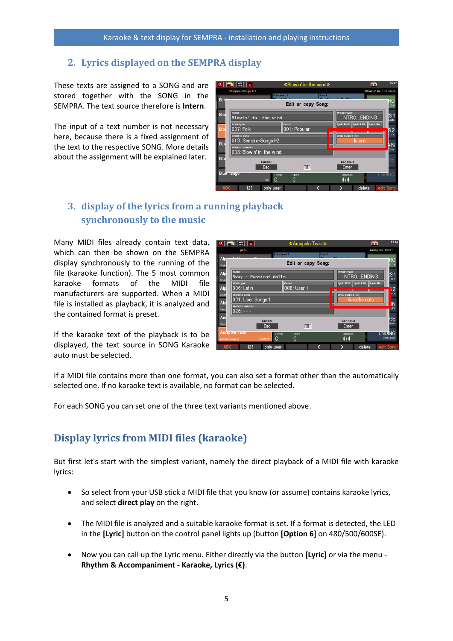## <span id="page-4-0"></span>**2. Lyrics displayed on the SEMPRA display**

These texts are assigned to a SONG and are stored together with the SONG in the SEMPRA. The text source therefore is **Intern**.

The input of a text number is not necessary here, because there is a fixed assignment of the text to the respective SONG. More details about the assignment will be explained later.



# <span id="page-4-1"></span>**3. display of the lyrics from a running playback synchronously to the music**

Many MIDI files already contain text data, which can then be shown on the SEMPRA display synchronously to the running of the file (karaoke function). The 5 most common karaoke formats of the MIDI file manufacturers are supported. When a MIDI file is installed as playback, it is analyzed and the contained format is preset.

If the karaoke text of the playback is to be displayed, the text source in SONG Karaoke auto must be selected.

| $\overline{\bf{K}}$ | 壽<br>而                                        |             | «Amapola Twist»                                                             |        |                                          | <b>The Street</b>           | 13:14          |
|---------------------|-----------------------------------------------|-------------|-----------------------------------------------------------------------------|--------|------------------------------------------|-----------------------------|----------------|
|                     | pool                                          |             |                                                                             |        |                                          | <b>Amapola Twist</b>        |                |
| Alp                 | $\sim$ $\blacksquare$                         | Solochord 1 |                                                                             | Solo 1 |                                          |                             |                |
| Style-              |                                               |             | Edit or copy Song:                                                          |        |                                          |                             |                |
| Alp<br>Style-       | <b>Name</b><br> Sway - Pussicat dolls         |             |                                                                             |        | <b>Preset type</b><br><b>INTROENDING</b> | 'S 1<br>sFX                 |                |
| Alp                 | <b>Styletype</b><br>006: Latin                | Genre       | 008: User 1                                                                 |        | Lyric MSB Lyric LSB                      | Lyric No.                   | $\overline{2}$ |
| Style-<br>Alw       | store to bank<br>001: User Songs 1            |             |                                                                             |        | Lyric source (F3)<br>Karaoke auto<br>IN  |                             |                |
| Semp<br>Am          | store to number<br>l026: - - -                |             |                                                                             |        |                                          | sFX                         |                |
| Semp                | Cancel<br>Esc                                 |             | $\frac{\text{p} \times \text{p} \times \text{p}}{\text{p} \times \text{p}}$ |        | Continue<br>Enter                        | <b>GE</b><br>)raan          |                |
|                     | Amapoia Twist<br>Jive/R'n'R<br>Sempra-Songs 2 | Transp<br>C | Chord<br>C                                                                  |        | Signature<br>4/4                         | <b>ENDING</b><br>Real Organ |                |
| <b>ABC</b>          | 123                                           | only user   | $-$                                                                         | Ζ      | delete                                   | edit Song                   |                |

If a MIDI file contains more than one format, you can also set a format other than the automatically selected one. If no karaoke text is available, no format can be selected.

For each SONG you can set one of the three text variants mentioned above.

# **Display lyrics from MIDI files (karaoke)**

But first let's start with the simplest variant, namely the direct playback of a MIDI file with karaoke lyrics:

- So select from your USB stick a MIDI file that you know (or assume) contains karaoke lyrics, and select **direct play** on the right.
- The MIDI file is analyzed and a suitable karaoke format is set. If a format is detected, the LED in the **[Lyric]** button on the control panel lights up (button **[Option 6]** on 480/500/600SE).
- Now you can call up the Lyric menu. Either directly via the button **[Lyric]** or via the menu **Rhythm & Accompaniment - Karaoke, Lyrics (€)**.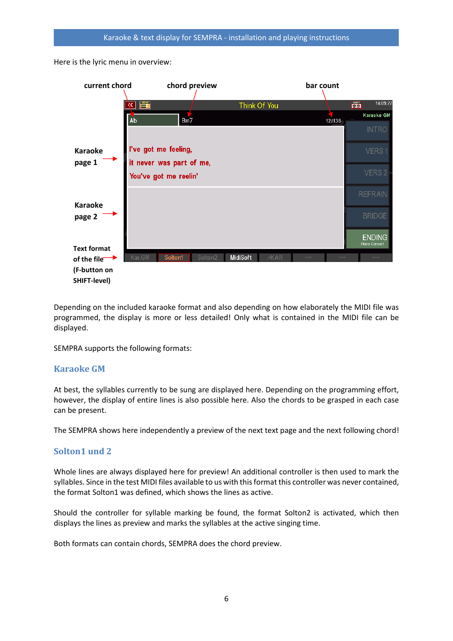Here is the lyric menu in overview:



Depending on the included karaoke format and also depending on how elaborately the MIDI file was programmed, the display is more or less detailed! Only what is contained in the MIDI file can be displayed.

SEMPRA supports the following formats:

#### <span id="page-5-0"></span>**Karaoke GM**

At best, the syllables currently to be sung are displayed here. Depending on the programming effort, however, the display of entire lines is also possible here. Also the chords to be grasped in each case can be present.

The SEMPRA shows here independently a preview of the next text page and the next following chord!

#### <span id="page-5-1"></span>**Solton1 und 2**

Whole lines are always displayed here for preview! An additional controller is then used to mark the syllables. Since in the test MIDI files available to us with this format this controller was never contained, the format Solton1 was defined, which shows the lines as active.

Should the controller for syllable marking be found, the format Solton2 is activated, which then displays the lines as preview and marks the syllables at the active singing time.

Both formats can contain chords, SEMPRA does the chord preview.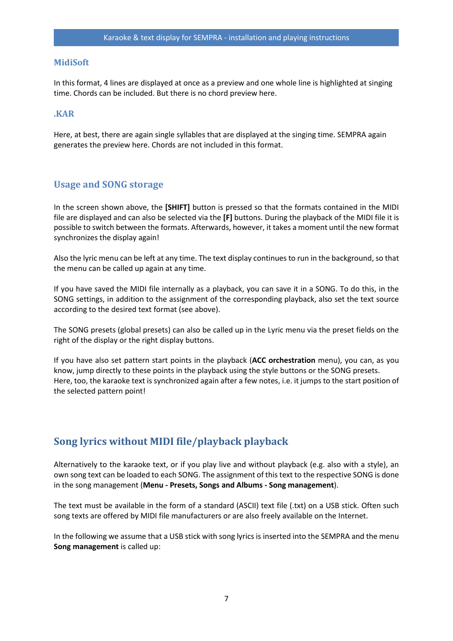#### <span id="page-6-0"></span>**MidiSoft**

In this format, 4 lines are displayed at once as a preview and one whole line is highlighted at singing time. Chords can be included. But there is no chord preview here.

#### <span id="page-6-1"></span>**.KAR**

Here, at best, there are again single syllables that are displayed at the singing time. SEMPRA again generates the preview here. Chords are not included in this format.

#### **Usage and SONG storage**

In the screen shown above, the **[SHIFT]** button is pressed so that the formats contained in the MIDI file are displayed and can also be selected via the **[F]** buttons. During the playback of the MIDI file it is possible to switch between the formats. Afterwards, however, it takes a moment until the new format synchronizes the display again!

Also the lyric menu can be left at any time. The text display continues to run in the background, so that the menu can be called up again at any time.

If you have saved the MIDI file internally as a playback, you can save it in a SONG. To do this, in the SONG settings, in addition to the assignment of the corresponding playback, also set the text source according to the desired text format (see above).

The SONG presets (global presets) can also be called up in the Lyric menu via the preset fields on the right of the display or the right display buttons.

If you have also set pattern start points in the playback (**ACC orchestration** menu), you can, as you know, jump directly to these points in the playback using the style buttons or the SONG presets. Here, too, the karaoke text is synchronized again after a few notes, i.e. it jumps to the start position of the selected pattern point!

## **Song lyrics without MIDI file/playback playback**

Alternatively to the karaoke text, or if you play live and without playback (e.g. also with a style), an own song text can be loaded to each SONG. The assignment of this text to the respective SONG is done in the song management (**Menu - Presets, Songs and Albums - Song management**).

The text must be available in the form of a standard (ASCII) text file (.txt) on a USB stick. Often such song texts are offered by MIDI file manufacturers or are also freely available on the Internet.

In the following we assume that a USB stick with song lyrics is inserted into the SEMPRA and the menu **Song management** is called up: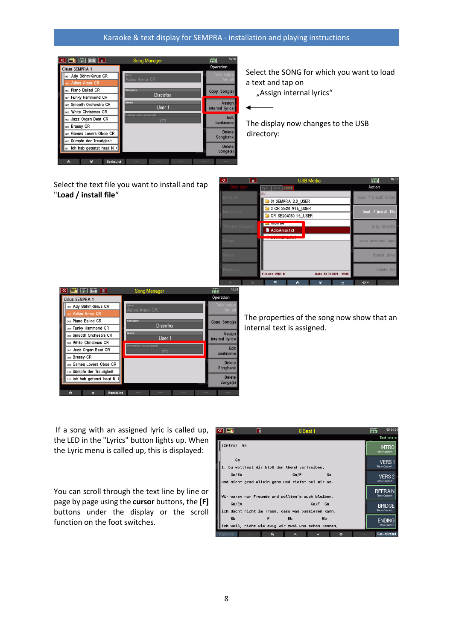#### Karaoke & text display for SEMPRA - installation and playing instructions



Select the SONG for which you want to load a text and tap on

"Assign internal lyrics"

◢

The display now changes to the USB directory:

Select the text file you want to install and tap "**Load / install file**"

| ব<br>豆                             | <b>USB Media</b>                            | 介布<br>16:51           |
|------------------------------------|---------------------------------------------|-----------------------|
| Data type                          | Syst. Work USB1                             | Action                |
| show all                           | C: I                                        | load / install folder |
|                                    | 01 SEMPRA 2.0 USER                          |                       |
| nstallation                        | 3 CR SE20 V1.5 USER                         | load / install file   |
|                                    | CR SE204060 1.5 USER                        |                       |
| Themes (Albums)                    | <u>e muun ne</u>                            | play directly         |
|                                    | AdioAmor.txt                                |                       |
| Sonas                              |                                             | save selected type    |
|                                    |                                             |                       |
| Styles                             |                                             | format drive          |
|                                    |                                             |                       |
| laybacks                           |                                             | delete file           |
|                                    | Filesize 2360 B<br>19:06<br>Date 13.07.2021 |                       |
| $\mathrel{\vee}$<br>$\hat{\wedge}$ | ᄎ<br>∀<br>à<br>⊻                            | $\ll =$<br>$\cdots$   |

| $\Box$ $\Box$ $\Box$                                                   | <b>Song Manager</b>          | 16:5<br>m                 |
|------------------------------------------------------------------------|------------------------------|---------------------------|
| Claus SEMPRA 1                                                         |                              | Operation                 |
| 001: Ady Böhm-Sinus CR                                                 | <b>Name</b><br>Adios Amor CR | Take value<br>for all     |
| 002: Adios Amor CR                                                     |                              |                           |
| 003: Piano Ballad CR                                                   | Category                     | Copy Song(s)              |
| 004: Funky Hammond CR                                                  | <b>Discofox</b>              |                           |
| oos: Smooth Orchestra CR                                               | Genre<br>User 1              | Assign                    |
| 006: White Christmas CR                                                | Internal lyrics assigned?    | internal lyrics           |
| 007: Jazz Organ Beat CR                                                | yes                          | Edit<br>bankname          |
| 008: Brassy CR                                                         |                              |                           |
| 009: Games Lovers Oboe CR                                              |                              | <b>Delete</b><br>Songbank |
| 010: Sümpfe der Traurigkeit                                            |                              |                           |
| 011: Ich hab getanzt heut N.                                           |                              | <b>Delete</b><br>Songs(s) |
| <b>Contract Contract Contract Contract</b><br><b>Contract Contract</b> |                              |                           |

The properties of the song now show that an internal text is assigned.

If a song with an assigned lyric is called up, the LED in the "Lyrics" button lights up. When the Lyric menu is called up, this is displayed:

You can scroll through the text line by line or page by page using the **cursor** buttons, the **[F]**  buttons under the display or the scroll function on the foot switches.

| $\ll$ |                | $\overline{u}$                                           | 8 Beat 1                   |           | <b>The Street</b>                     | 09:34:34           |
|-------|----------------|----------------------------------------------------------|----------------------------|-----------|---------------------------------------|--------------------|
|       |                |                                                          |                            |           |                                       | <b>Text Intern</b> |
|       | (Intro)<br>Gm  |                                                          |                            |           | <b>INTRC</b><br><b>Plano Concert</b>  |                    |
|       | Gm             | 1. Du wolltest dir bloß den Abend vertreiben.            |                            |           | <b>VERS1</b><br><b>Piano Concert</b>  |                    |
|       | Gm/Eb          | und nicht grad allein gehn und riefst bei mir an.        | Gm/F                       | Gm        | VERS <sub>2</sub><br>Plano Concert    |                    |
|       |                | Wir waren nur Freunde und wollten's auch bleiben,        |                            |           | REFRAI<br><b>Plano Concert</b>        |                    |
|       | Gm/Eb          | ich dacht nicht im Traum, dass was passieren kann.       | Gm/F                       | Gm        | <b>BRIDGE</b><br><b>Piano Concert</b> |                    |
|       | <b>Bb</b>      | F<br>Ich weiß, nicht wie ewig wir zwei uns schon kennen, | Eb                         | <b>Bb</b> | ENDING<br><b>Piano Concert</b>        |                    |
|       | Karaoke<br>--- | à                                                        | ⌒<br>$\tilde{\phantom{a}}$ | ⊌         | Pos->Preset<br>---                    |                    |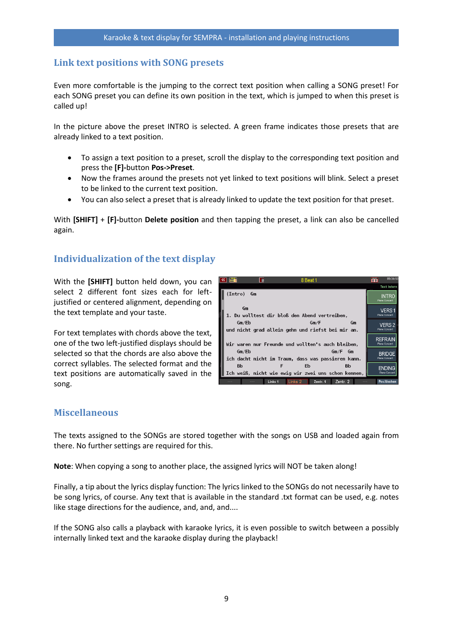## **Link text positions with SONG presets**

Even more comfortable is the jumping to the correct text position when calling a SONG preset! For each SONG preset you can define its own position in the text, which is jumped to when this preset is called up!

In the picture above the preset INTRO is selected. A green frame indicates those presets that are already linked to a text position.

- To assign a text position to a preset, scroll the display to the corresponding text position and press the **[F]-**button **Pos->Preset**.
- Now the frames around the presets not yet linked to text positions will blink. Select a preset to be linked to the current text position.
- You can also select a preset that is already linked to update the text position for that preset.

With **[SHIFT]** + **[F]-**button **Delete position** and then tapping the preset, a link can also be cancelled again.

## **Individualization of the text display**

With the **[SHIFT]** button held down, you can select 2 different font sizes each for leftjustified or centered alignment, depending on the text template and your taste.

For text templates with chords above the text, one of the two left-justified displays should be selected so that the chords are also above the correct syllables. The selected format and the text positions are automatically saved in the song.

| $\blacksquare$ | 回       |                                                     | 8 Beat 1 |                    |         | <b>nm</b> | 09:34:53                               |
|----------------|---------|-----------------------------------------------------|----------|--------------------|---------|-----------|----------------------------------------|
|                |         |                                                     |          |                    |         |           | <b>Text Intern</b>                     |
| (Intro)        | Gm      |                                                     |          |                    |         |           | <b>INTRO</b><br>Rano Concert           |
| Gm             |         |                                                     |          |                    |         |           | VERS <sub>1</sub>                      |
|                |         | 1. Du wolltest dir bloß den Abend vertreiben,       |          |                    |         |           | <b>Flano Concert</b>                   |
| Gm/Eb          |         |                                                     | Gm/F     |                    | Gm      |           | VERS <sub>2</sub>                      |
|                |         | und nicht grad allein gehn und riefst bei mir an.   |          |                    |         |           | <b>Flano Concert</b>                   |
|                |         | Wir waren nur Freunde und wollten's auch bleiben,   |          |                    |         |           | <b>REFRAIN</b><br><b>Piano Concert</b> |
| Gm/Eb          |         |                                                     |          | Gm/F<br>Gm         |         |           | <b>BRIDGE</b>                          |
|                |         | ich dacht nicht im Traum, dass was passieren kann.  |          |                    |         |           | <b>Flano Concert</b>                   |
| Bb             |         | F                                                   | Eb       | Bb                 |         |           | <b>FNDING</b>                          |
|                |         | Ich weiß, nicht wie ewig wir zwei uns schon kennen, |          |                    |         |           | <b>Piano Concert</b>                   |
|                | $- - -$ | Links 1 Links 2                                     | Zentr. 1 | Zentr <sub>2</sub> | $m = -$ |           | Pos.löschen                            |

#### **Miscellaneous**

The texts assigned to the SONGs are stored together with the songs on USB and loaded again from there. No further settings are required for this.

**Note**: When copying a song to another place, the assigned lyrics will NOT be taken along!

Finally, a tip about the lyrics display function: The lyrics linked to the SONGs do not necessarily have to be song lyrics, of course. Any text that is available in the standard .txt format can be used, e.g. notes like stage directions for the audience, and, and, and....

If the SONG also calls a playback with karaoke lyrics, it is even possible to switch between a possibly internally linked text and the karaoke display during the playback!